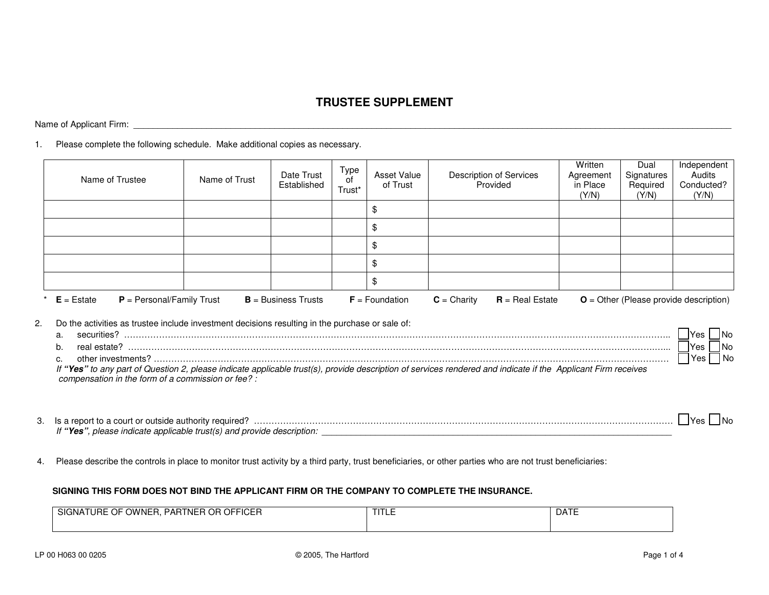## **TRUSTEE SUPPLEMENT**

Name of Applicant Firm: \_\_\_\_\_\_\_\_\_\_\_\_\_\_\_\_\_\_\_\_\_\_\_\_\_\_\_\_\_\_\_\_\_\_\_\_\_\_\_\_\_\_\_\_\_\_\_\_\_\_\_\_\_\_\_\_\_\_\_\_\_\_\_\_\_\_\_\_\_\_\_\_\_\_\_\_\_\_\_\_\_\_\_\_\_\_\_\_\_\_\_\_\_\_\_\_\_\_\_\_\_\_\_\_\_\_\_\_\_\_\_\_\_\_\_\_\_\_\_\_\_\_\_

1. Please complete the following schedule. Make additional copies as necessary.

|                | Name of Trustee                                                                                                                                      | Name of Trust | Date Trust<br>Established | Type<br>of<br>Trust* | Asset Value<br>of Trust | Description of Services<br>Provided                                                                                                                           | Written<br>Agreement<br>in Place<br>(Y/N) | Dual<br>Signatures<br>Required<br>(Y/N) | Independent<br>Audits<br>Conducted?<br>(Y/N)                                                                                                       |
|----------------|------------------------------------------------------------------------------------------------------------------------------------------------------|---------------|---------------------------|----------------------|-------------------------|---------------------------------------------------------------------------------------------------------------------------------------------------------------|-------------------------------------------|-----------------------------------------|----------------------------------------------------------------------------------------------------------------------------------------------------|
|                |                                                                                                                                                      |               |                           |                      | \$                      |                                                                                                                                                               |                                           |                                         |                                                                                                                                                    |
|                |                                                                                                                                                      |               |                           |                      | \$                      |                                                                                                                                                               |                                           |                                         |                                                                                                                                                    |
|                |                                                                                                                                                      |               |                           |                      | \$                      |                                                                                                                                                               |                                           |                                         |                                                                                                                                                    |
|                |                                                                                                                                                      |               |                           |                      | \$                      |                                                                                                                                                               |                                           |                                         |                                                                                                                                                    |
|                |                                                                                                                                                      |               |                           |                      | \$                      |                                                                                                                                                               |                                           |                                         |                                                                                                                                                    |
|                | $E =$ Estate<br>$P =$ Personal/Family Trust                                                                                                          |               | $B =$ Business Trusts     |                      | $F =$ Foundation        | $C =$ Charity<br>$R = Real$ Estate                                                                                                                            |                                           |                                         | $O =$ Other (Please provide description)                                                                                                           |
| a.<br>b.<br>c. | Do the activities as trustee include investment decisions resulting in the purchase or sale of:<br>compensation in the form of a commission or fee?: |               |                           |                      |                         | If "Yes" to any part of Question 2, please indicate applicable trust(s), provide description of services rendered and indicate if the Applicant Firm receives |                                           |                                         | $\mathbf{\underline{\blacksquare}}$ Yes $\mathbf{\underline{\blacksquare}}$ No<br>$\sqrt{\frac{1}{1-\lambda}}$ Yes $\sqrt{\frac{1}{1-\lambda}}$ No |
|                |                                                                                                                                                      |               |                           |                      |                         |                                                                                                                                                               |                                           |                                         | Yes I No                                                                                                                                           |

4. Please describe the controls in place to monitor trust activity by a third party, trust beneficiaries, or other parties who are not trust beneficiaries:

## **SIGNING THIS FORM DOES NOT BIND THE APPLICANT FIRM OR THE COMPANY TO COMPLETE THE INSURANCE.**

| OR OFFICER<br><b>OWNER</b><br><b>TNER</b><br>$\sim$ $-$<br><b>SIGNATURE</b><br>PAR<br>∵ ⊩ل | <b>TITLE</b> | $\sim$ $ -$<br>DAIL |
|--------------------------------------------------------------------------------------------|--------------|---------------------|
|                                                                                            |              |                     |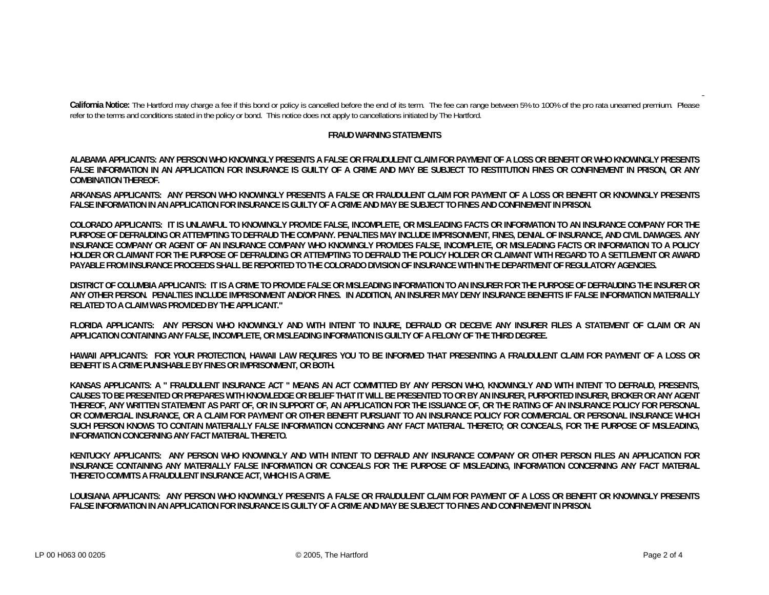**California Notice:** The Hartford may charge a fee if this bond or policy is cancelled before the end of its term. The fee can range between 5% to 100% of the pro rata unearned premium. Please refer to the terms and conditions stated in the policy or bond. This notice does not apply to cancellations initiated by The Hartford.

## **FRAUD WARNING STATEMENTS**

**ALABAMA APPLICANTS: ANY PERSON WHO KNOWINGLY PRESENTS A FALSE OR FRAUDULENT CLAIM FOR PAYMENT OF A LOSS OR BENEFIT OR WHO KNOWINGLY PRESENTS FALSE INFORMATION IN AN APPLICATION FOR INSURANCE IS GUILTY OF A CRIME AND MAY BE SUBJECT TO RESTITUTION FINES OR CONFINEMENT IN PRISON, OR ANY COMBINATION THEREOF.**

**ARKANSAS APPLICANTS: ANY PERSON WHO KNOWINGLY PRESENTS A FALSE OR FRAUDULENT CLAIM FOR PAYMENT OF A LOSS OR BENEFIT OR KNOWINGLY PRESENTS FALSE INFORMATION IN AN APPLICATION FOR INSURANCE IS GUILTY OF A CRIME AND MAY BE SUBJECT TO FINES AND CONFINEMENT IN PRISON.** 

**COLORADO APPLICANTS: IT IS UNLAWFUL TO KNOWINGLY PROVIDE FALSE, INCOMPLETE, OR MISLEADING FACTS OR INFORMATION TO AN INSURANCE COMPANY FOR THE PURPOSE OF DEFRAUDING OR ATTEMPTING TO DEFRAUD THE COMPANY. PENALTIES MAY INCLUDE IMPRISONMENT, FINES, DENIAL OF INSURANCE, AND CIVIL DAMAGES. ANY INSURANCE COMPANY OR AGENT OF AN INSURANCE COMPANY WHO KNOWINGLY PROVIDES FALSE, INCOMPLETE, OR MISLEADING FACTS OR INFORMATION TO A POLICY HOLDER OR CLAIMANT FOR THE PURPOSE OF DEFRAUDING OR ATTEMPTING TO DEFRAUD THE POLICY HOLDER OR CLAIMANT WITH REGARD TO A SETTLEMENT OR AWARD PAYABLE FROM INSURANCE PROCEEDS SHALL BE REPORTED TO THE COLORADO DIVISION OF INSURANCE WITHIN THE DEPARTMENT OF REGULATORY AGENCIES.** 

**DISTRICT OF COLUMBIA APPLICANTS: IT IS A CRIME TO PROVIDE FALSE OR MISLEADING INFORMATION TO AN INSURER FOR THE PURPOSE OF DEFRAUDING THE INSURER OR ANY OTHER PERSON. PENALTIES INCLUDE IMPRISONMENT AND/OR FINES. IN ADDITION, AN INSURER MAY DENY INSURANCE BENEFITS IF FALSE INFORMATION MATERIALLY RELATED TO A CLAIM WAS PROVIDED BY THE APPLICANT."** 

**FLORIDA APPLICANTS: ANY PERSON WHO KNOWINGLY AND WITH INTENT TO INJURE, DEFRAUD OR DECEIVE ANY INSURER FILES A STATEMENT OF CLAIM OR AN APPLICATION CONTAINING ANY FALSE, INCOMPLETE, OR MISLEADING INFORMATION IS GUILTY OF A FELONY OF THE THIRD DEGREE.** 

**HAWAII APPLICANTS: FOR YOUR PROTECTION, HAWAII LAW REQUIRES YOU TO BE INFORMED THAT PRESENTING A FRAUDULENT CLAIM FOR PAYMENT OF A LOSS OR BENEFIT IS A CRIME PUNISHABLE BY FINES OR IMPRISONMENT, OR BOTH.** 

**KANSAS APPLICANTS: A " FRAUDULENT INSURANCE ACT " MEANS AN ACT COMMITTED BY ANY PERSON WHO, KNOWINGLY AND WITH INTENT TO DEFRAUD, PRESENTS, CAUSES TO BE PRESENTED OR PREPARES WITH KNOWLEDGE OR BELIEF THAT IT WILL BE PRESENTED TO OR BY AN INSURER, PURPORTED INSURER, BROKER OR ANY AGENT THEREOF, ANY WRITTEN STATEMENT AS PART OF, OR IN SUPPORT OF, AN APPLICATION FOR THE ISSUANCE OF, OR THE RATING OF AN INSURANCE POLICY FOR PERSONAL OR COMMERCIAL INSURANCE, OR A CLAIM FOR PAYMENT OR OTHER BENEFIT PURSUANT TO AN INSURANCE POLICY FOR COMMERCIAL OR PERSONAL INSURANCE WHICH SUCH PERSON KNOWS TO CONTAIN MATERIALLY FALSE INFORMATION CONCERNING ANY FACT MATERIAL THERETO; OR CONCEALS, FOR THE PURPOSE OF MISLEADING, INFORMATION CONCERNING ANY FACT MATERIAL THERETO.** 

**KENTUCKY APPLICANTS: ANY PERSON WHO KNOWINGLY AND WITH INTENT TO DEFRAUD ANY INSURANCE COMPANY OR OTHER PERSON FILES AN APPLICATION FOR INSURANCE CONTAINING ANY MATERIALLY FALSE INFORMATION OR CONCEALS FOR THE PURPOSE OF MISLEADING, INFORMATION CONCERNING ANY FACT MATERIAL THERETO COMMITS A FRAUDULENT INSURANCE ACT, WHICH IS A CRIME.** 

**LOUISIANA APPLICANTS: ANY PERSON WHO KNOWINGLY PRESENTS A FALSE OR FRAUDULENT CLAIM FOR PAYMENT OF A LOSS OR BENEFIT OR KNOWINGLY PRESENTS FALSE INFORMATION IN AN APPLICATION FOR INSURANCE IS GUILTY OF A CRIME AND MAY BE SUBJECT TO FINES AND CONFINEMENT IN PRISON.**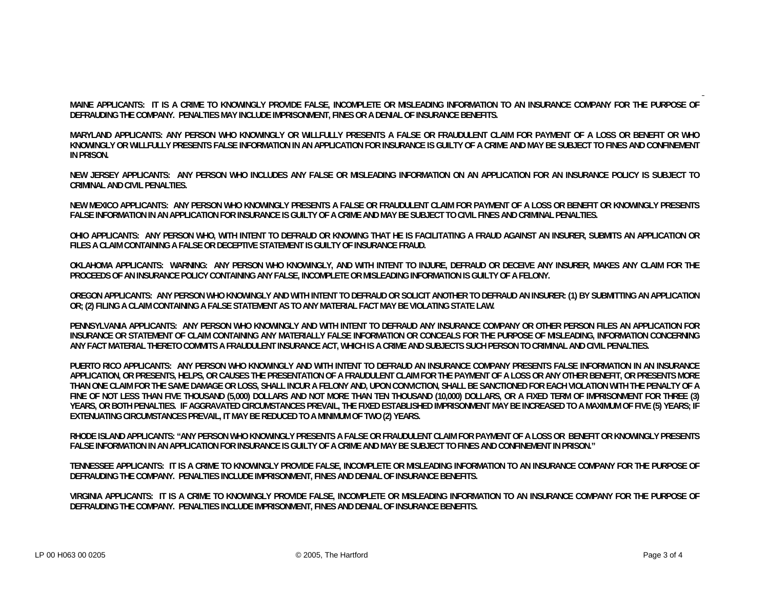**MAINE APPLICANTS: IT IS A CRIME TO KNOWINGLY PROVIDE FALSE, INCOMPLETE OR MISLEADING INFORMATION TO AN INSURANCE COMPANY FOR THE PURPOSE OF DEFRAUDING THE COMPANY. PENALTIES MAY INCLUDE IMPRISONMENT, FINES OR A DENIAL OF INSURANCE BENEFITS.** 

**MARYLAND APPLICANTS: ANY PERSON WHO KNOWINGLY OR WILLFULLY PRESENTS A FALSE OR FRAUDULENT CLAIM FOR PAYMENT OF A LOSS OR BENEFIT OR WHO KNOWINGLY OR WILLFULLY PRESENTS FALSE INFORMATION IN AN APPLICATION FOR INSURANCE IS GUILTY OF A CRIME AND MAY BE SUBJECT TO FINES AND CONFINEMENT IN PRISON.** 

**NEW JERSEY APPLICANTS: ANY PERSON WHO INCLUDES ANY FALSE OR MISLEADING INFORMATION ON AN APPLICATION FOR AN INSURANCE POLICY IS SUBJECT TO CRIMINAL AND CIVIL PENALTIES.** 

**NEW MEXICO APPLICANTS: ANY PERSON WHO KNOWINGLY PRESENTS A FALSE OR FRAUDULENT CLAIM FOR PAYMENT OF A LOSS OR BENEFIT OR KNOWINGLY PRESENTS FALSE INFORMATION IN AN APPLICATION FOR INSURANCE IS GUILTY OF A CRIME AND MAY BE SUBJECT TO CIVIL FINES AND CRIMINAL PENALTIES.** 

**OHIO APPLICANTS: ANY PERSON WHO, WITH INTENT TO DEFRAUD OR KNOWING THAT HE IS FACILITATING A FRAUD AGAINST AN INSURER, SUBMITS AN APPLICATION OR FILES A CLAIM CONTAINING A FALSE OR DECEPTIVE STATEMENT IS GUILTY OF INSURANCE FRAUD.** 

**OKLAHOMA APPLICANTS: WARNING: ANY PERSON WHO KNOWINGLY, AND WITH INTENT TO INJURE, DEFRAUD OR DECEIVE ANY INSURER, MAKES ANY CLAIM FOR THE PROCEEDS OF AN INSURANCE POLICY CONTAINING ANY FALSE, INCOMPLETE OR MISLEADING INFORMATION IS GUILTY OF A FELONY.** 

**OREGON APPLICANTS: ANY PERSON WHO KNOWINGLY AND WITH INTENT TO DEFRAUD OR SOLICIT ANOTHER TO DEFRAUD AN INSURER: (1) BY SUBMITTING AN APPLICATION OR; (2) FILING A CLAIM CONTAINING A FALSE STATEMENT AS TO ANY MATERIAL FACT MAY BE VIOLATING STATE LAW.** 

**PENNSYLVANIA APPLICANTS: ANY PERSON WHO KNOWINGLY AND WITH INTENT TO DEFRAUD ANY INSURANCE COMPANY OR OTHER PERSON FILES AN APPLICATION FOR INSURANCE OR STATEMENT OF CLAIM CONTAINING ANY MATERIALLY FALSE INFORMATION OR CONCEALS FOR THE PURPOSE OF MISLEADING, INFORMATION CONCERNING ANY FACT MATERIAL THERETO COMMITS A FRAUDULENT INSURANCE ACT, WHICH IS A CRIME AND SUBJECTS SUCH PERSON TO CRIMINAL AND CIVIL PENALTIES.** 

**PUERTO RICO APPLICANTS: ANY PERSON WHO KNOWINGLY AND WITH INTENT TO DEFRAUD AN INSURANCE COMPANY PRESENTS FALSE INFORMATION IN AN INSURANCE APPLICATION, OR PRESENTS, HELPS, OR CAUSES THE PRESENTATION OF A FRAUDULENT CLAIM FOR THE PAYMENT OF A LOSS OR ANY OTHER BENEFIT, OR PRESENTS MORE THAN ONE CLAIM FOR THE SAME DAMAGE OR LOSS, SHALL INCUR A FELONY AND, UPON CONVICTION, SHALL BE SANCTIONED FOR EACH VIOLATION WITH THE PENALTY OF A FINE OF NOT LESS THAN FIVE THOUSAND (5,000) DOLLARS AND NOT MORE THAN TEN THOUSAND (10,000) DOLLARS, OR A FIXED TERM OF IMPRISONMENT FOR THREE (3) YEARS, OR BOTH PENALTIES. IF AGGRAVATED CIRCUMSTANCES PREVAIL, THE FIXED ESTABLISHED IMPRISONMENT MAY BE INCREASED TO A MAXIMUM OF FIVE (5) YEARS; IF EXTENUATING CIRCUMSTANCES PREVAIL, IT MAY BE REDUCED TO A MINIMUM OF TWO (2) YEARS.** 

**RHODE ISLAND APPLICANTS: "ANY PERSON WHO KNOWINGLY PRESENTS A FALSE OR FRAUDULENT CLAIM FOR PAYMENT OF A LOSS OR BENEFIT OR KNOWINGLY PRESENTS FALSE INFORMATION IN AN APPLICATION FOR INSURANCE IS GUILTY OF A CRIME AND MAY BE SUBJECT TO FINES AND CONFINEMENT IN PRISON."** 

**TENNESSEE APPLICANTS: IT IS A CRIME TO KNOWINGLY PROVIDE FALSE, INCOMPLETE OR MISLEADING INFORMATION TO AN INSURANCE COMPANY FOR THE PURPOSE OF DEFRAUDING THE COMPANY. PENALTIES INCLUDE IMPRISONMENT, FINES AND DENIAL OF INSURANCE BENEFITS.** 

**VIRGINIA APPLICANTS: IT IS A CRIME TO KNOWINGLY PROVIDE FALSE, INCOMPLETE OR MISLEADING INFORMATION TO AN INSURANCE COMPANY FOR THE PURPOSE OF DEFRAUDING THE COMPANY. PENALTIES INCLUDE IMPRISONMENT, FINES AND DENIAL OF INSURANCE BENEFITS.**